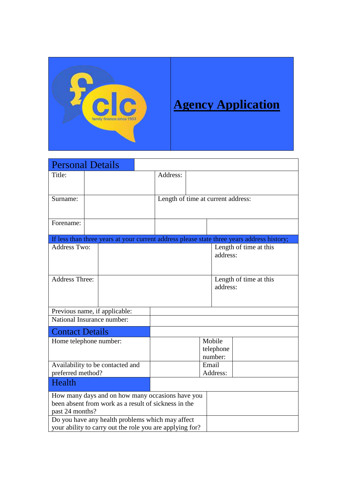

| <b>Personal Details</b>                                                                                      |                                                                                                          |  |                                    |                                |                                                                                            |
|--------------------------------------------------------------------------------------------------------------|----------------------------------------------------------------------------------------------------------|--|------------------------------------|--------------------------------|--------------------------------------------------------------------------------------------|
| Title:                                                                                                       |                                                                                                          |  | Address:                           |                                |                                                                                            |
| Surname:                                                                                                     |                                                                                                          |  | Length of time at current address: |                                |                                                                                            |
| Forename:                                                                                                    |                                                                                                          |  |                                    |                                |                                                                                            |
|                                                                                                              |                                                                                                          |  |                                    |                                | If less than three years at your current address please state three years address history; |
| <b>Address Two:</b>                                                                                          |                                                                                                          |  |                                    | address:                       | Length of time at this                                                                     |
| <b>Address Three:</b>                                                                                        |                                                                                                          |  |                                    | address:                       | Length of time at this                                                                     |
|                                                                                                              | Previous name, if applicable:                                                                            |  |                                    |                                |                                                                                            |
| National Insurance number:                                                                                   |                                                                                                          |  |                                    |                                |                                                                                            |
| <b>Contact Details</b>                                                                                       |                                                                                                          |  |                                    |                                |                                                                                            |
| Home telephone number:                                                                                       |                                                                                                          |  |                                    | Mobile<br>telephone<br>number: |                                                                                            |
| preferred method?                                                                                            | Availability to be contacted and                                                                         |  |                                    | Email<br>Address:              |                                                                                            |
| Health                                                                                                       |                                                                                                          |  |                                    |                                |                                                                                            |
| past 24 months?                                                                                              | How many days and on how many occasions have you<br>been absent from work as a result of sickness in the |  |                                    |                                |                                                                                            |
| Do you have any health problems which may affect<br>your ability to carry out the role you are applying for? |                                                                                                          |  |                                    |                                |                                                                                            |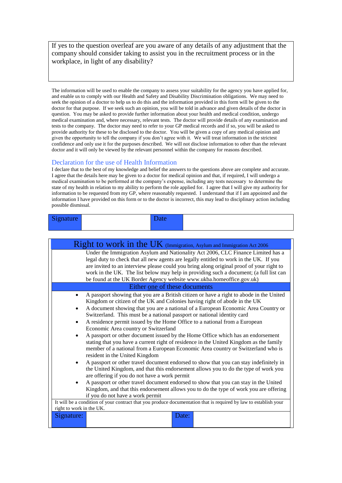If yes to the question overleaf are you aware of any details of any adjustment that the company should consider taking to assist you in the recruitment process or in the workplace, in light of any disability?

The information will be used to enable the company to assess your suitability for the agency you have applied for, and enable us to comply with our Health and Safety and Disability Discrimination obligations. We may need to seek the opinion of a doctor to help us to do this and the information provided in this form will be given to the doctor for that purpose. If we seek such an opinion, you will be told in advance and given details of the doctor in question. You may be asked to provide further information about your health and medical condition, undergo medical examination and, where necessary, relevant tests. The doctor will provide details of any examination and tests to the company. The doctor may need to refer to your GP medical records and if so, you will be asked to provide authority for these to be disclosed to the doctor. You will be given a copy of any medical opinion and given the opportunity to tell the company if you don't agree with it. We will treat information in the strictest confidence and only use it for the purposes described. We will not disclose information to other than the relevant doctor and it will only be viewed by the relevant personnel within the company for reasons described.

## Declaration for the use of Health Information

I declare that to the best of my knowledge and belief the answers to the questions above are complete and accurate. I agree that the details here may be given to a doctor for medical opinion and that, if required, I will undergo a medical examination to be performed at the company's expense, including any tests necessary to determine the state of my health in relation to my ability to perform the role applied for. I agree that I will give my authority for information to be requested from my GP, where reasonably requested. I understand that if I am appointed and the information I have provided on this form or to the doctor is incorrect, this may lead to disciplinary action including possible dismissal.

| Signature | Date |  |
|-----------|------|--|
|           |      |  |

| Right to work in the UK (Immigration, Asylum and Immigration Act 2006)                                                                                                                                                                                                                                                                                                                                                                                                                                                                                                                                                                                                                                                                                                                                                                                                                                                                                                                                                                                                                                                                                                                                                          |
|---------------------------------------------------------------------------------------------------------------------------------------------------------------------------------------------------------------------------------------------------------------------------------------------------------------------------------------------------------------------------------------------------------------------------------------------------------------------------------------------------------------------------------------------------------------------------------------------------------------------------------------------------------------------------------------------------------------------------------------------------------------------------------------------------------------------------------------------------------------------------------------------------------------------------------------------------------------------------------------------------------------------------------------------------------------------------------------------------------------------------------------------------------------------------------------------------------------------------------|
| Under the Immigration Asylum and Nationality Act 2006, CLC Finance Limited has a<br>legal duty to check that all new agents are legally entitled to work in the UK. If you<br>are invited to an interview please could you bring along original proof of your right to<br>work in the UK. The list below may help in providing such a document; (a full list can<br>be found at the UK Border Agency website www.ukba.homeoffice.gov.uk)                                                                                                                                                                                                                                                                                                                                                                                                                                                                                                                                                                                                                                                                                                                                                                                        |
| Either one of these documents                                                                                                                                                                                                                                                                                                                                                                                                                                                                                                                                                                                                                                                                                                                                                                                                                                                                                                                                                                                                                                                                                                                                                                                                   |
| A passport showing that you are a British citizen or have a right to abode in the United<br>Kingdom or citizen of the UK and Colonies having right of abode in the UK<br>A document showing that you are a national of a European Economic Area Country or<br>Switzerland. This must be a national passport or national identity card<br>A residence permit issued by the Home Office to a national from a European<br>Economic Area country or Switzerland<br>A passport or other document issued by the Home Office which has an endorsement<br>stating that you have a current right of residence in the United Kingdom as the family<br>member of a national from a European Economic Area country or Switzerland who is<br>resident in the United Kingdom<br>A passport or other travel document endorsed to show that you can stay indefinitely in<br>٠<br>the United Kingdom, and that this endorsement allows you to do the type of work you<br>are offering if you do not have a work permit<br>A passport or other travel document endorsed to show that you can stay in the United<br>٠<br>Kingdom, and that this endorsement allows you to do the type of work you are offering<br>if you do not have a work permit |
| It will be a condition of your contract that you produce documentation that is required by law to establish your                                                                                                                                                                                                                                                                                                                                                                                                                                                                                                                                                                                                                                                                                                                                                                                                                                                                                                                                                                                                                                                                                                                |
| right to work in the UK.                                                                                                                                                                                                                                                                                                                                                                                                                                                                                                                                                                                                                                                                                                                                                                                                                                                                                                                                                                                                                                                                                                                                                                                                        |
| Signature:<br>Date:                                                                                                                                                                                                                                                                                                                                                                                                                                                                                                                                                                                                                                                                                                                                                                                                                                                                                                                                                                                                                                                                                                                                                                                                             |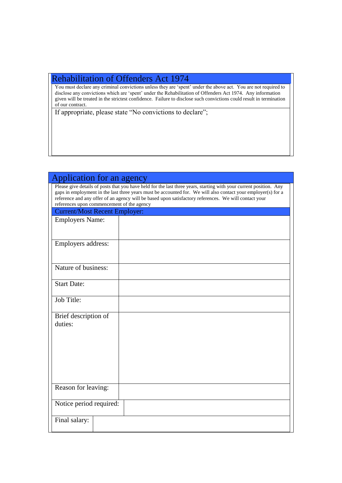# Rehabilitation of Offenders Act 1974

You must declare any criminal convictions unless they are 'spent' under the above act. You are not required to disclose any convictions which are 'spent' under the Rehabilitation of Offenders Act 1974. Any information given will be treated in the strictest confidence. Failure to disclose such convictions could result in termination of our contract.

If appropriate, please state "No convictions to declare";

| Application for an agency                                                                                                                                                                                                                                                                                                                                                                  |
|--------------------------------------------------------------------------------------------------------------------------------------------------------------------------------------------------------------------------------------------------------------------------------------------------------------------------------------------------------------------------------------------|
| Please give details of posts that you have held for the last three years, starting with your current position. Any<br>gaps in employment in the last three years must be accounted for. We will also contact your employer(s) for a<br>reference and any offer of an agency will be based upon satisfactory references. We will contact your<br>references upon commencement of the agency |
| <b>Current/Most Recent Employer:</b>                                                                                                                                                                                                                                                                                                                                                       |
| <b>Employers Name:</b>                                                                                                                                                                                                                                                                                                                                                                     |
| Employers address:                                                                                                                                                                                                                                                                                                                                                                         |
| Nature of business:                                                                                                                                                                                                                                                                                                                                                                        |
| <b>Start Date:</b>                                                                                                                                                                                                                                                                                                                                                                         |
| Job Title:                                                                                                                                                                                                                                                                                                                                                                                 |
| Brief description of<br>duties:                                                                                                                                                                                                                                                                                                                                                            |
| Reason for leaving:                                                                                                                                                                                                                                                                                                                                                                        |
| Notice period required:                                                                                                                                                                                                                                                                                                                                                                    |
| Final salary:                                                                                                                                                                                                                                                                                                                                                                              |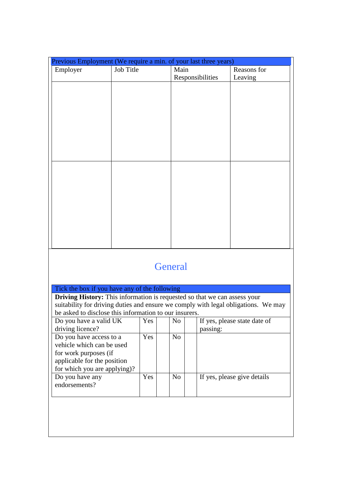| Previous Employment (We require a min. of your last three years) |           |                  |             |
|------------------------------------------------------------------|-----------|------------------|-------------|
| Employer                                                         | Job Title | Main             | Reasons for |
|                                                                  |           | Responsibilities | Leaving     |
|                                                                  |           |                  |             |
|                                                                  |           |                  |             |
|                                                                  |           |                  |             |
|                                                                  |           |                  |             |
|                                                                  |           |                  |             |
|                                                                  |           |                  |             |
|                                                                  |           |                  |             |
|                                                                  |           |                  |             |
|                                                                  |           |                  |             |
|                                                                  |           |                  |             |
|                                                                  |           |                  |             |
|                                                                  |           |                  |             |
|                                                                  |           |                  |             |
|                                                                  |           |                  |             |
|                                                                  |           |                  |             |
|                                                                  |           |                  |             |
|                                                                  |           |                  |             |
|                                                                  |           |                  |             |
|                                                                  |           |                  |             |
|                                                                  |           |                  |             |

# **General**

| Tick the box if you have any of the following                                    |      |     |                                                                                    |
|----------------------------------------------------------------------------------|------|-----|------------------------------------------------------------------------------------|
| <b>Driving History:</b> This information is requested so that we can assess your |      |     |                                                                                    |
|                                                                                  |      |     | suitability for driving duties and ensure we comply with legal obligations. We may |
| be asked to disclose this information to our insurers.                           |      |     |                                                                                    |
| Do you have a valid UK                                                           | Yes. | No. | If yes, please state date of                                                       |
| driving licence?                                                                 |      |     | passing:                                                                           |
| Do you have access to a                                                          | Yes. | No  |                                                                                    |
| vehicle which can be used                                                        |      |     |                                                                                    |
| for work purposes (if                                                            |      |     |                                                                                    |
| applicable for the position                                                      |      |     |                                                                                    |
| for which you are applying)?                                                     |      |     |                                                                                    |
| Do you have any                                                                  | Yes  | No  | If yes, please give details                                                        |
| endorsements?                                                                    |      |     |                                                                                    |
|                                                                                  |      |     |                                                                                    |
|                                                                                  |      |     |                                                                                    |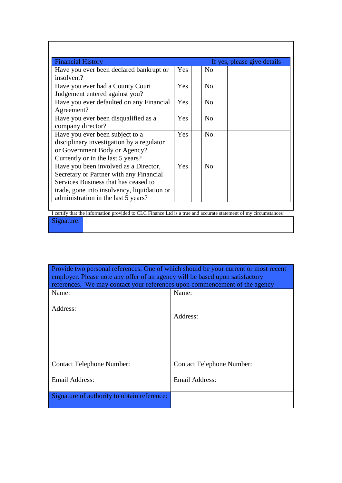| <b>Financial History</b>                                                                                                                                                                                       |            |                    | If yes, please give details |
|----------------------------------------------------------------------------------------------------------------------------------------------------------------------------------------------------------------|------------|--------------------|-----------------------------|
| Have you ever been declared bankrupt or<br>insolvent?                                                                                                                                                          | Yes.       | $\overline{N}_{0}$ |                             |
| Have you ever had a County Court<br>Judgement entered against you?                                                                                                                                             | <b>Yes</b> | No                 |                             |
| Have you ever defaulted on any Financial<br>Agreement?                                                                                                                                                         | Yes        | N <sub>0</sub>     |                             |
| Have you ever been disqualified as a<br>company director?                                                                                                                                                      | <b>Yes</b> | N <sub>0</sub>     |                             |
| Have you ever been subject to a<br>disciplinary investigation by a regulator<br>or Government Body or Agency?<br>Currently or in the last 5 years?                                                             | <b>Yes</b> | N <sub>o</sub>     |                             |
| Have you been involved as a Director,<br>Secretary or Partner with any Financial<br>Services Business that has ceased to<br>trade, gone into insolvency, liquidation or<br>administration in the last 5 years? | <b>Yes</b> | No                 |                             |

I certify that the information provided to CLC Finance Ltd is a true and accurate statement of my circumstances Signature:

| Provide two personal references. One of which should be your current or most recent<br>employer. Please note any offer of an agency will be based upon satisfactory |                                  |  |  |
|---------------------------------------------------------------------------------------------------------------------------------------------------------------------|----------------------------------|--|--|
| references. We may contact your references upon commencement of the agency                                                                                          |                                  |  |  |
| Name:                                                                                                                                                               | Name:                            |  |  |
| Address:                                                                                                                                                            | Address:                         |  |  |
| <b>Contact Telephone Number:</b>                                                                                                                                    | <b>Contact Telephone Number:</b> |  |  |
| <b>Email Address:</b>                                                                                                                                               | Email Address:                   |  |  |
| Signature of authority to obtain reference:                                                                                                                         |                                  |  |  |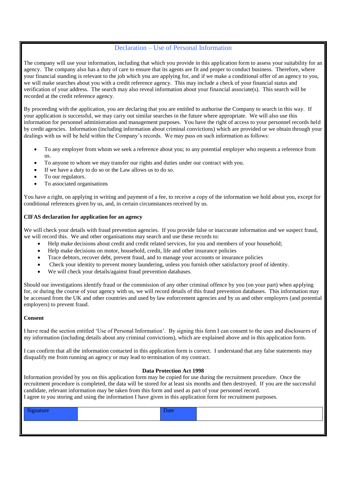# Declaration – Use of Personal Information

The company will use your information, including that which you provide in this application form to assess your suitability for an agency. The company also has a duty of care to ensure that its agents are fit and proper to conduct business. Therefore, where your financial standing is relevant to the job which you are applying for, and if we make a conditional offer of an agency to you, we will make searches about you with a credit reference agency. This may include a check of your financial status and verification of your address. The search may also reveal information about your financial associate(s). This search will be recorded at the credit reference agency.

By proceeding with the application, you are declaring that you are entitled to authorise the Company to search in this way. If your application is successful, we may carry out similar searches in the future where appropriate. We will also use this information for personnel administration and management purposes. You have the right of access to your personnel records held by credit agencies. Information (including information about criminal convictions) which are provided or we obtain through your dealings with us will be held within the Company's records. We may pass on such information as follows:

- To any employer from whom we seek a reference about you; to any potential employer who requests a reference from us.
- To anyone to whom we may transfer our rights and duties under our contract with you.
- If we have a duty to do so or the Law allows us to do so.
- To our regulators.
- To associated organisations

You have a right, on applying in writing and payment of a fee, to receive a copy of the information we hold about you, except for conditional references given by us, and, in certain circumstances received by us.

# **CIFAS declaration for application for an agency**

We will check your details with fraud prevention agencies. If you provide false or inaccurate information and we suspect fraud, we will record this. We and other organisations may search and use these records to:

- Help make decisions about credit and credit related services, for you and members of your household;
- Help make decisions on motor, household, credit, life and other insurance policies
- Trace debtors, recover debt, prevent fraud, and to manage your accounts or insurance policies
- Check your identity to prevent money laundering, unless you furnish other satisfactory proof of identity.
- We will check your details/against fraud prevention databases.

Should our investigations identify fraud or the commission of any other criminal offence by you (on your part) when applying for, or during the course of your agency with us, we will record details of this fraud prevention databases. This information may be accessed from the UK and other countries and used by law enforcement agencies and by us and other employers (and potential employers) to prevent fraud.

## **Consent**

I have read the section entitled 'Use of Personal Information'. By signing this form I can consent to the uses and disclosures of my information (including details about any criminal convictions), which are explained above and in this application form.

I can confirm that all the information contacted in this application form is correct. I understand that any false statements may disqualify me from running an agency or may lead to termination of my contract.

## **Data Protection Act 1998**

Information provided by you on this application form may be copied for use during the recruitment procedure. Once the recruitment procedure is completed, the data will be stored for at least six months and then destroyed. If you are the successful candidate, relevant information may be taken from this form and used as part of your personnel record. I agree to you storing and using the information I have given in this application form for recruitment purposes.

| Signature | Date |  |
|-----------|------|--|
|           |      |  |